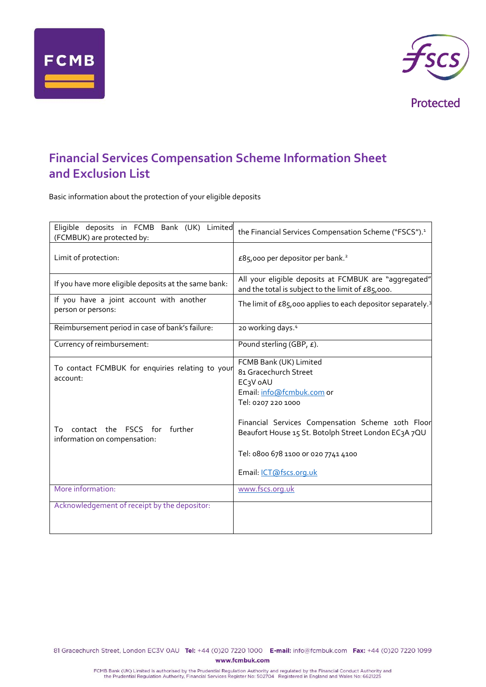



Protected

## **Financial Services Compensation Scheme Information Sheet and Exclusion List**

Basic information about the protection of your eligible deposits

| Eligible deposits in FCMB Bank (UK)<br>Limited<br>(FCMBUK) are protected by:                                                       | the Financial Services Compensation Scheme ("FSCS"). <sup>1</sup>                                                                                                                                                                                                                                         |
|------------------------------------------------------------------------------------------------------------------------------------|-----------------------------------------------------------------------------------------------------------------------------------------------------------------------------------------------------------------------------------------------------------------------------------------------------------|
| Limit of protection:                                                                                                               | £85,000 per depositor per bank. <sup>2</sup>                                                                                                                                                                                                                                                              |
| If you have more eligible deposits at the same bank:                                                                               | All your eligible deposits at FCMBUK are "aggregated"<br>and the total is subject to the limit of £85,000.                                                                                                                                                                                                |
| If you have a joint account with another<br>person or persons:                                                                     | The limit of $\pounds85,000$ applies to each depositor separately. <sup>3</sup>                                                                                                                                                                                                                           |
| Reimbursement period in case of bank's failure:                                                                                    | 20 working days. <sup>4</sup>                                                                                                                                                                                                                                                                             |
| Currency of reimbursement:                                                                                                         | Pound sterling (GBP, £).                                                                                                                                                                                                                                                                                  |
| To contact FCMBUK for enquiries relating to your<br>account:<br>contact the FSCS for further<br>To<br>information on compensation: | FCMB Bank (UK) Limited<br>81 Gracechurch Street<br>EC <sub>3</sub> V oAU<br>Email. info@fcmbuk.com or<br>Tel: 0207 220 1000<br>Financial Services Compensation Scheme 10th Floor<br>Beaufort House 15 St. Botolph Street London EC3A 7QU<br>Tel: 0800 678 1100 0r 020 7741 4100<br>Email: ICT@fscs.org.uk |
| More information:                                                                                                                  | www.fscs.org.uk                                                                                                                                                                                                                                                                                           |
| Acknowledgement of receipt by the depositor:                                                                                       |                                                                                                                                                                                                                                                                                                           |

81 Gracechurch Street, London EC3V 0AU Tel: +44 (0)20 7220 1000 E-mail: info@fcmbuk.com Fax: +44 (0)20 7220 1099 www.fcmbuk.com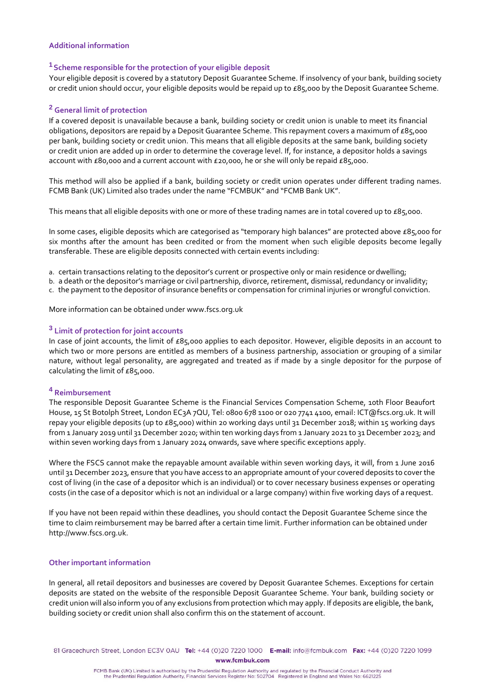#### **Additional information**

## **<sup>1</sup>Scheme responsible for the protection of your eligible deposit**

Your eligible deposit is covered by a statutory Deposit Guarantee Scheme. If insolvency of your bank, building society or credit union should occur, your eligible deposits would be repaid up to £85,000 by the Deposit Guarantee Scheme.

### **<sup>2</sup> General limit of protection**

If a covered deposit is unavailable because a bank, building society or credit union is unable to meet its financial obligations, depositors are repaid by a Deposit Guarantee Scheme. This repayment covers a maximum of £85,000 per bank, building society or credit union. This means that all eligible deposits at the same bank, building society or credit union are added up in order to determine the coverage level. If, for instance, a depositor holds a savings account with £80,000 and a current account with £20,000, he or she will only be repaid £85,000.

This method will also be applied if a bank, building society or credit union operates under different trading names. FCMB Bank (UK) Limited also trades under the name "FCMBUK" and "FCMB Bank UK".

This means that all eligible deposits with one or more of these trading names are in total covered up to £85,000.

In some cases, eligible deposits which are categorised as "temporary high balances" are protected above £85,000 for six months after the amount has been credited or from the moment when such eligible deposits become legally transferable. These are eligible deposits connected with certain events including:

- a. certain transactions relating to the depositor's current or prospective only or main residence or dwelling;
- b. a death or the depositor's marriage or civil partnership, divorce, retirement, dismissal, redundancy or invalidity;
- c. the payment to the depositor of insurance benefits or compensation for criminal injuries or wrongful conviction.

More information can be obtained under [www.fscs.org.uk](about:blank)

### **<sup>3</sup> Limit of protection for joint accounts**

In case of joint accounts, the limit of £85,000 applies to each depositor. However, eligible deposits in an account to which two or more persons are entitled as members of a business partnership, association or grouping of a similar nature, without legal personality, are aggregated and treated as if made by a single depositor for the purpose of calculating the limit of £85,000.

## **<sup>4</sup> Reimbursement**

The responsible Deposit Guarantee Scheme is the Financial Services Compensation Scheme, 10th Floor Beaufort House, 15 St Botolph Street, London EC3A 7QU, Tel: 0800 678 1100 or 020 7741 4100, emai[l: ICT@fscs.org.uk. It](about:blank) will repay your eligible deposits (up to £85,000) within 20 working days until 31 December 2018; within 15 working days from 1 January 2019 until 31 December 2020; within ten working days from 1 January 2021 to 31 December 2023; and within seven working days from 1 January 2024 onwards, save where specific exceptions apply.

Where the FSCS cannot make the repayable amount available within seven working days, it will, from 1 June 2016 until 31 December 2023, ensure that you have access to an appropriate amount of your covered deposits to cover the cost of living (in the case of a depositor which is an individual) or to cover necessary business expenses or operating costs (in the case of a depositor which is not an individual or a large company) within five working days of a request.

If you have not been repaid within these deadlines, you should contact the Deposit Guarantee Scheme since the time to claim reimbursement may be barred after a certain time limit. Further information can be obtained under [http://www.fscs.org.uk.](about:blank)

#### **Other important information**

In general, all retail depositors and businesses are covered by Deposit Guarantee Schemes. Exceptions for certain deposits are stated on the website of the responsible Deposit Guarantee Scheme. Your bank, building society or credit union will also inform you of any exclusions from protection which may apply. If deposits are eligible, the bank, building society or credit union shall also confirm this on the statement of account.

81 Gracechurch Street, London EC3V 0AU Tel: +44 (0)20 7220 1000 E-mail: info@fcmbuk.com Fax: +44 (0)20 7220 1099 www.fcmbuk.com